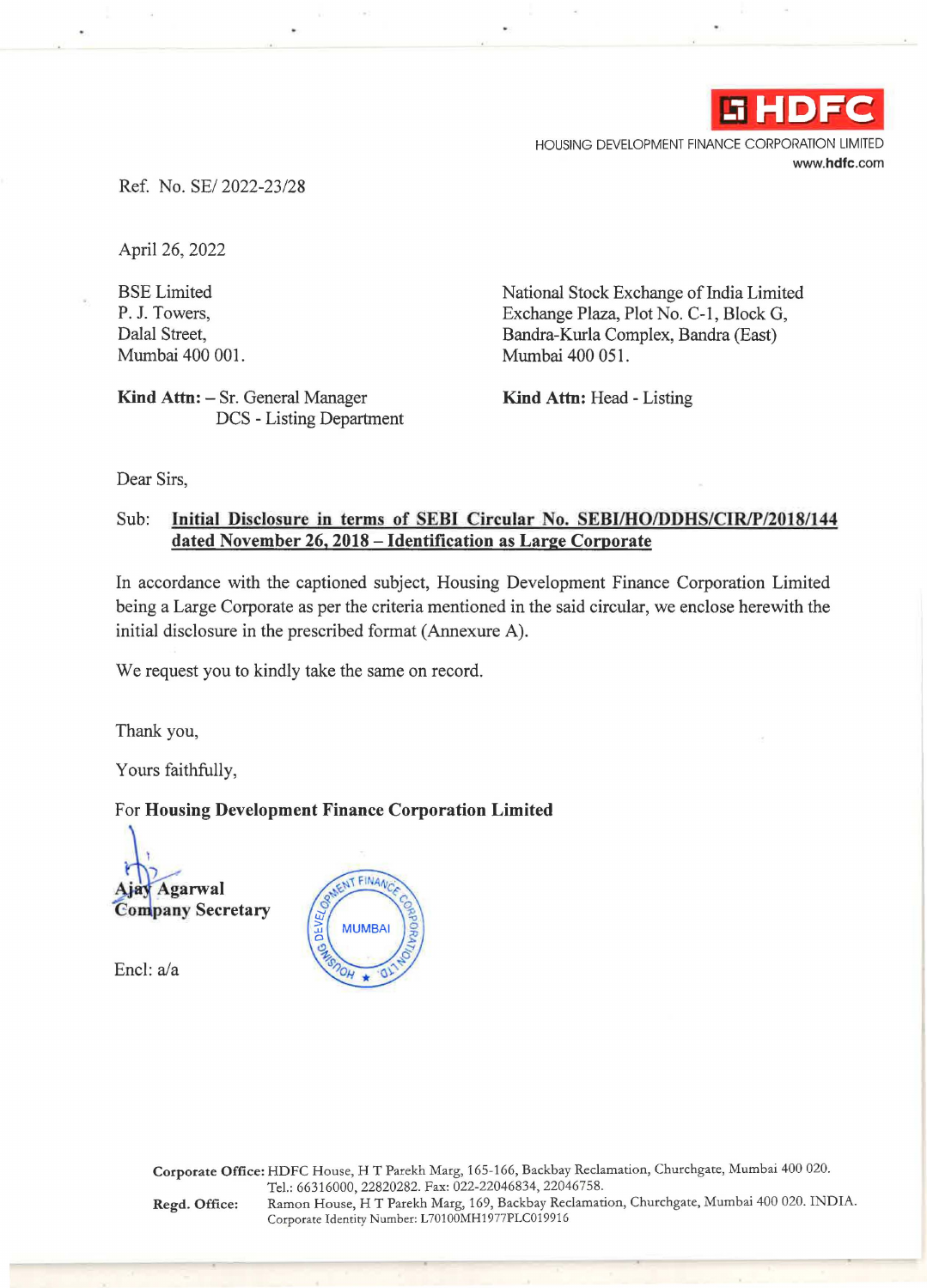

HOUSING DEVELOPMENT FINANCE CORPORATION LIMITED **www.hdfc.com** 

Ref. No. SE/ 2022-23/28

April 26, 2022

BSE Limited P. J. Towers, Dalal Street, Mumbai 400 001.

Kind Attn: - Sr. General Manager DCS - Listing Department National Stock Exchange of India Limited Exchange Plaza, Plot No. C-1, Block G, Bandra-Kurla Complex, Bandra (East) Mumbai 400 051.

**Kind Attn:** Head - Listing

Dear Sirs,

## Sub: **InitiaJ Disclosure in terms of SEBI Circular No. SEBI/HO/DDHS/CIR/P/2018/144 dated November 26, 2018 - Identification as Large Corporate**

In accordance with the captioned subject, Housing Development Finance Corporation Limited being a Large Corporate as per the criteria mentioned in the said circular, we enclose herewith the initial disclosure in the prescribed format (Annexure A).

We request you to kindly take the same on record.

Thank you,

Yours faithfully,

## For **Housing Development Finance Corporation Limited**

 $\overline{$  . **Agarwal Company Secretary** 

Encl: a/a



**Corporate Office:** HDFC House, HT Parekh Marg, 165-166, Backbay Reclamation, Churchgate, Mumbai 400 020. Tel.: 66316000, 22820282. Fax: 022-22046834, 22046758. **Regd. Office:** Ramon House, HT Parekh Marg, 169, Backbay Reclamation, Churchgate, Mumbai 400 020. INDIA. Corporate Identity Number: L70100MH1977PLC019916